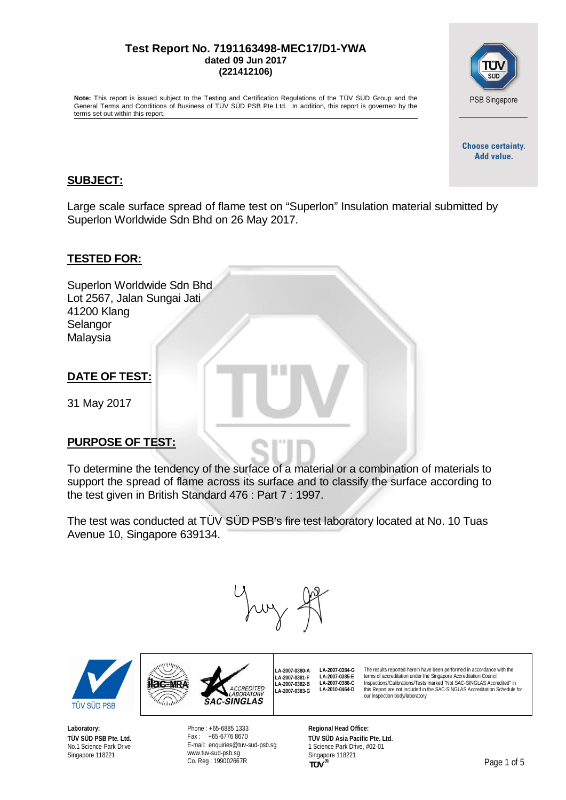#### **Test Report No. 7191163498-MEC17/D1-YWA dated 09 Jun 2017 (221412106)**

**Note:** This report is issued subject to the Testing and Certification Regulations of the TÜV SÜD Group and the General Terms and Conditions of Business of TÜV SÜD PSB Pte Ltd. In addition, this report is governed by the terms set out within this report.

> **Choose certainty.** Add value.

PSB Singapore

#### **SUBJECT:**

Large scale surface spread of flame test on "Superlon" Insulation material submitted by Superlon Worldwide Sdn Bhd on 26 May 2017.

#### **TESTED FOR:**

Superlon Worldwide Sdn Bhd Lot 2567, Jalan Sungai Jati 41200 Klang Selangor Malaysia

## **DATE OF TEST:**

31 May 2017

## **PURPOSE OF TEST:**

To determine the tendency of the surface of a material or a combination of materials to support the spread of flame across its surface and to classify the surface according to the test given in British Standard 476 : Part 7 : 1997.

The test was conducted at TÜV SÜD PSB's fire test laboratory located at No. 10 Tuas Avenue 10, Singapore 639134.



**LA-2007-0380-A LA-2007-0381-F LA-2007-0382-B LA-2007-0383-G**



**ilac-MR** 

**Laboratory: TÜV SÜD PSB Pte. Ltd.** No.1 Science Park Drive Singapore 118221

Phone : +65-6885 1333 Fax : +65-6776 8670 E-mail: [enquiries@tuv-sud-psb.sg](mailto:enquiries@tuv-sud-psb.sg) [www.tuv-sud-psb.sg](http://www.tuv-sud-psb.sg/) Co. Reg : 199002667R

**SAC-SINGLAS** 

CREDITED

**Regional Head Office: TÜV SÜD Asia Pacific Pte. Ltd.** 1 Science Park Drive, #02-01 Singapore 118221

**LA-2007-0384-G LA-2007-0385-E LA-2007-0386-C LA-2010-0464-D**





The results reported herein have been performed in accordance with the terms of accreditation under the Singapore Accreditation Council.<br>Inspections/Calibrations/Tests marked "Not SAC-SINGLAS Accredited" in this Report are not included in the SAC-SINGLAS Accreditation Schedule for

our inspection body/laboratory.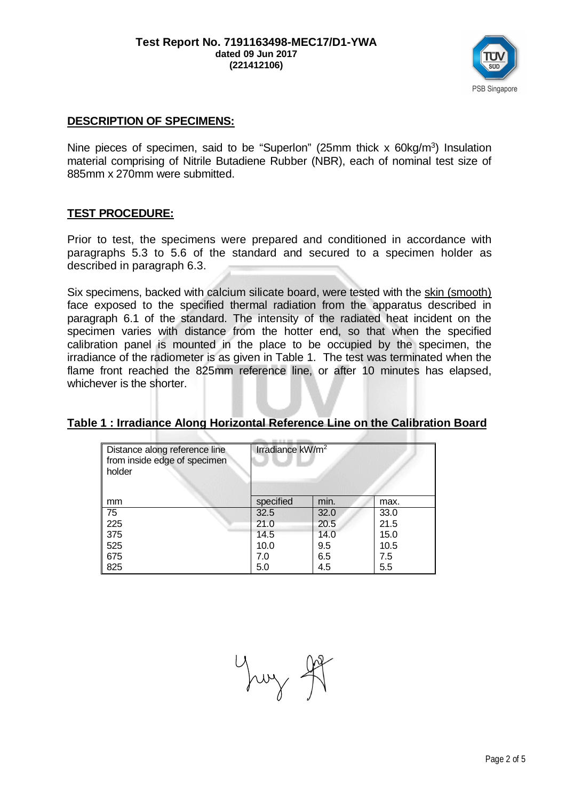

## **DESCRIPTION OF SPECIMENS:**

Nine pieces of specimen, said to be "Superlon" (25mm thick  $x$  60kg/m<sup>3</sup>) Insulation material comprising of Nitrile Butadiene Rubber (NBR), each of nominal test size of 885mm x 270mm were submitted.

## **TEST PROCEDURE:**

Prior to test, the specimens were prepared and conditioned in accordance with paragraphs 5.3 to 5.6 of the standard and secured to a specimen holder as described in paragraph 6.3.

Six specimens, backed with calcium silicate board, were tested with the skin (smooth) face exposed to the specified thermal radiation from the apparatus described in paragraph 6.1 of the standard. The intensity of the radiated heat incident on the specimen varies with distance from the hotter end, so that when the specified calibration panel is mounted in the place to be occupied by the specimen, the irradiance of the radiometer is as given in Table 1. The test was terminated when the flame front reached the 825mm reference line, or after 10 minutes has elapsed, whichever is the shorter.

## **Table 1 : Irradiance Along Horizontal Reference Line on the Calibration Board**

| Distance along reference line | Irradiance kW/m <sup>2</sup> |      |      |  |
|-------------------------------|------------------------------|------|------|--|
| from inside edge of specimen  |                              |      |      |  |
| holder                        |                              |      |      |  |
|                               |                              |      |      |  |
| mm                            | specified                    | min. | max. |  |
| 75                            | 32.5                         | 32.0 | 33.0 |  |
| 225                           | 21.0                         | 20.5 | 21.5 |  |
| 375                           | 14.5                         | 14.0 | 15.0 |  |
| 525                           | 10.0                         | 9.5  | 10.5 |  |
| 675                           | 7.0                          | 6.5  | 7.5  |  |
| 825                           | 5.0                          | 4.5  | 5.5  |  |

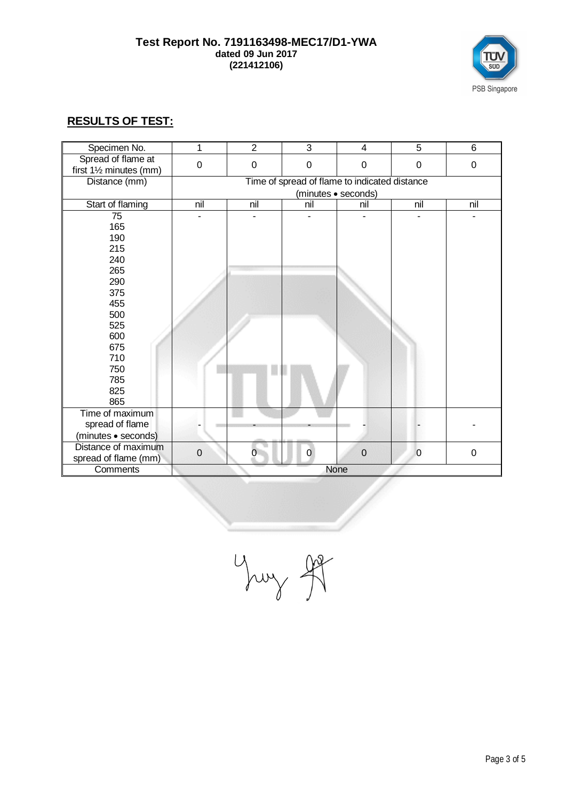#### **Test Report No. 7191163498-MEC17/D1-YWA dated 09 Jun 2017 (221412106)**



# **RESULTS OF TEST:**

| Specimen No.            | 1                | $\overline{2}$ | 3                                             | 4                   | $\overline{5}$ | 6   |
|-------------------------|------------------|----------------|-----------------------------------------------|---------------------|----------------|-----|
| Spread of flame at      | $\mathbf 0$      | $\mathbf 0$    | $\pmb{0}$                                     | $\mathbf 0$         | $\mathbf 0$    | 0   |
| first 11/2 minutes (mm) |                  |                |                                               |                     |                |     |
| Distance (mm)           |                  |                | Time of spread of flame to indicated distance |                     |                |     |
|                         |                  |                |                                               | (minutes · seconds) |                |     |
| Start of flaming        | nil              | nil            | nil                                           | nil                 | nil            | nil |
| 75                      |                  |                |                                               |                     |                |     |
| 165                     |                  |                |                                               |                     |                |     |
| 190                     |                  |                |                                               |                     |                |     |
| 215                     |                  |                |                                               |                     |                |     |
| 240                     |                  |                |                                               |                     |                |     |
| 265                     |                  |                |                                               |                     |                |     |
| 290                     |                  |                |                                               |                     |                |     |
| 375                     |                  |                |                                               |                     |                |     |
| 455                     |                  |                |                                               |                     |                |     |
| 500                     |                  |                |                                               |                     |                |     |
| 525                     |                  |                |                                               |                     |                |     |
| 600                     |                  |                |                                               |                     |                |     |
| 675                     |                  |                |                                               |                     |                |     |
| 710                     |                  |                |                                               |                     |                |     |
| 750                     |                  |                |                                               |                     |                |     |
| 785                     |                  |                |                                               |                     |                |     |
| 825                     |                  |                |                                               |                     |                |     |
| 865                     |                  |                |                                               |                     |                |     |
| Time of maximum         |                  |                |                                               |                     |                |     |
| spread of flame         |                  |                |                                               |                     |                |     |
| (minutes · seconds)     |                  |                |                                               |                     |                |     |
| Distance of maximum     |                  |                |                                               |                     |                |     |
| spread of flame (mm)    | $\boldsymbol{0}$ |                | 0                                             | $\mathbf 0$         | $\mathbf 0$    | 0   |
| Comments                |                  |                |                                               | None                |                |     |

Yung It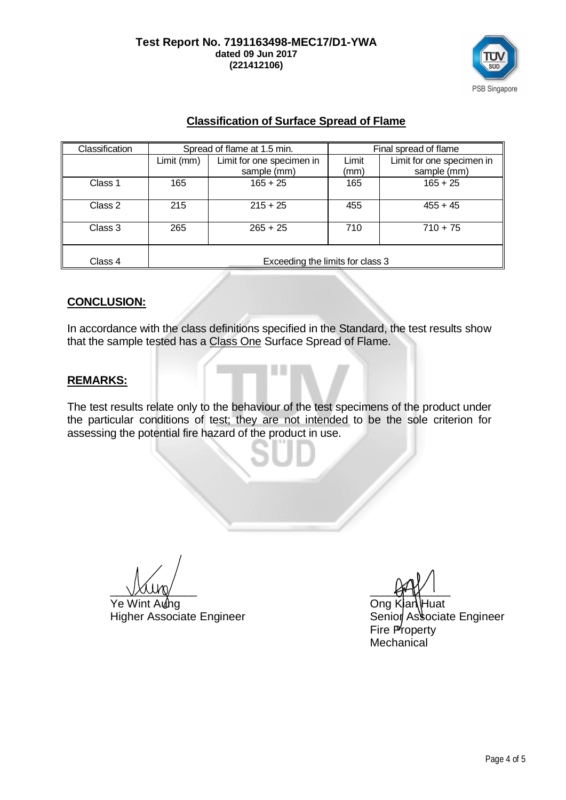

## **Classification of Surface Spread of Flame**

| Classification | Spread of flame at 1.5 min.      |                                          | Final spread of flame |                                          |  |
|----------------|----------------------------------|------------------------------------------|-----------------------|------------------------------------------|--|
|                | Limit (mm)                       | Limit for one specimen in<br>sample (mm) | Limit<br>(mm)         | Limit for one specimen in<br>sample (mm) |  |
| Class 1        | 165                              | $165 + 25$                               | 165                   | $165 + 25$                               |  |
| Class 2        | 215                              | $215 + 25$                               | 455                   | $455 + 45$                               |  |
| Class 3        | 265                              | $265 + 25$                               | 710                   | $710 + 75$                               |  |
| Class 4        | Exceeding the limits for class 3 |                                          |                       |                                          |  |

## **CONCLUSION:**

In accordance with the class definitions specified in the Standard, the test results show that the sample tested has a Class One Surface Spread of Flame.

## **REMARKS:**

The test results relate only to the behaviour of the test specimens of the product under the particular conditions of test; they are not intended to be the sole criterion for assessing the potential fire hazard of the product in use.

 $\frac{1}{2}$ 

Ye Wint Aung Cong Kian Huat

Higher Associate Engineer Senior Associate Engineer Fire Property **Mechanical**